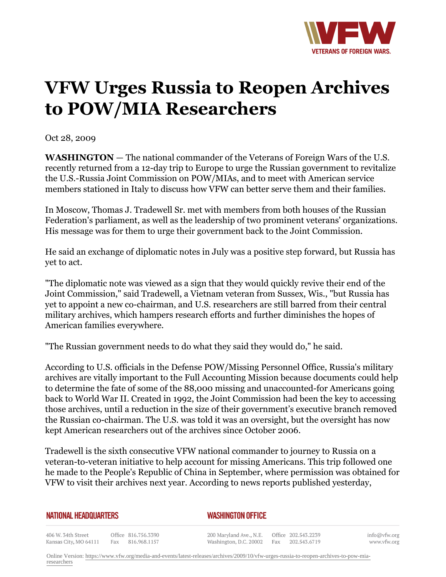

## **VFW Urges Russia to Reopen Archives to POW/MIA Researchers**

Oct 28, 2009

**WASHINGTON** — The national commander of the Veterans of Foreign Wars of the U.S. recently returned from a 12-day trip to Europe to urge the Russian government to revitalize the U.S.-Russia Joint Commission on POW/MIAs, and to meet with American service members stationed in Italy to discuss how VFW can better serve them and their families.

In Moscow, Thomas J. Tradewell Sr. met with members from both houses of the Russian Federation's parliament, as well as the leadership of two prominent veterans' organizations. His message was for them to urge their government back to the Joint Commission.

He said an exchange of diplomatic notes in July was a positive step forward, but Russia has yet to act.

"The diplomatic note was viewed as a sign that they would quickly revive their end of the Joint Commission," said Tradewell, a Vietnam veteran from Sussex, Wis., "but Russia has yet to appoint a new co-chairman, and U.S. researchers are still barred from their central military archives, which hampers research efforts and further diminishes the hopes of American families everywhere.

"The Russian government needs to do what they said they would do," he said.

According to U.S. officials in the Defense POW/Missing Personnel Office, Russia's military archives are vitally important to the Full Accounting Mission because documents could help to determine the fate of some of the 88,000 missing and unaccounted-for Americans going back to World War II. Created in 1992, the Joint Commission had been the key to accessing those archives, until a reduction in the size of their government's executive branch removed the Russian co-chairman. The U.S. was told it was an oversight, but the oversight has now kept American researchers out of the archives since October 2006.

Tradewell is the sixth consecutive VFW national commander to journey to Russia on a veteran-to-veteran initiative to help account for missing Americans. This trip followed one he made to the People's Republic of China in September, where permission was obtained for VFW to visit their archives next year. According to news reports published yesterday,

## **NATIONAL HEADQUARTERS**

*WASHINGTON OFFICE* 

406 W. 34th Street Office 816.756.3390 Kansas City, MO 64111 Fax 816.968.1157

200 Maryland Ave., N.E. Washington, D.C. 20002

Office 202.543.2239 Fax 202.543.6719

info@vfw.org www.vfw.org

Online Version: [https://www.vfw.org/media-and-events/latest-releases/archives/2009/10/vfw-urges-russia-to-reopen-archives-to-pow-mia](https://www.vfw.org/media-and-events/latest-releases/archives/2009/10/vfw-urges-russia-to-reopen-archives-to-pow-mia-researchers)[researchers](https://www.vfw.org/media-and-events/latest-releases/archives/2009/10/vfw-urges-russia-to-reopen-archives-to-pow-mia-researchers)